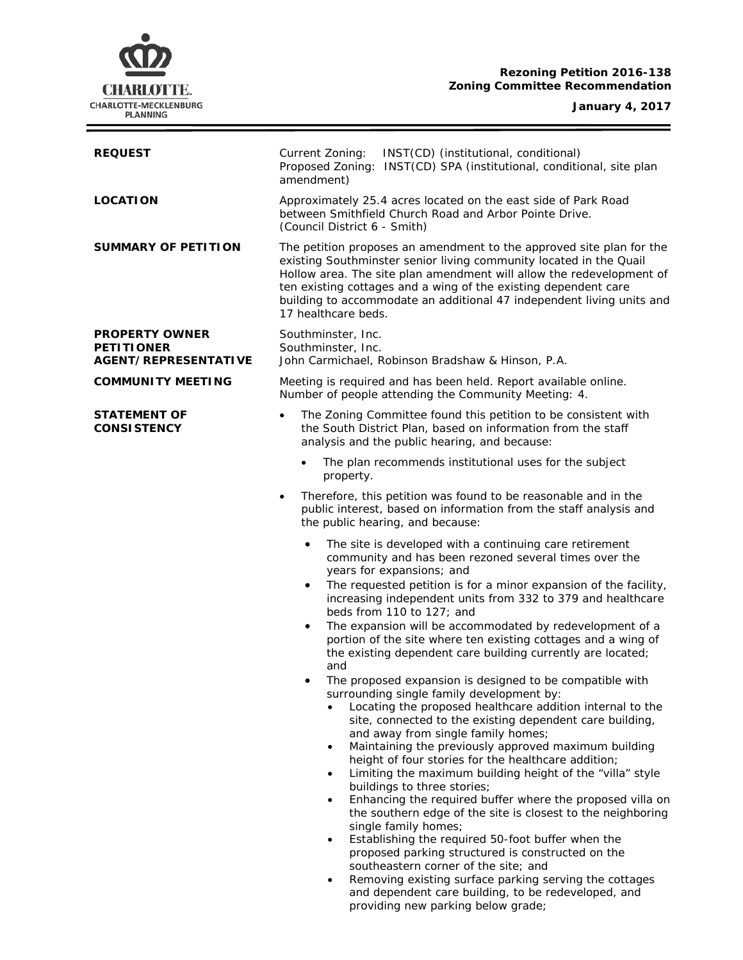# **Rezoning Petition 2016-138 Zoning Committee Recommendation**



÷

| <b>REQUEST</b>                                                            | INST(CD) (institutional, conditional)<br>Current Zoning:<br>Proposed Zoning: INST(CD) SPA (institutional, conditional, site plan<br>amendment)                                                                                                                                                                                                                                                                                                                                                                                                                                                                                                                                                                                                                                                                                                                                                                                                                                      |  |  |
|---------------------------------------------------------------------------|-------------------------------------------------------------------------------------------------------------------------------------------------------------------------------------------------------------------------------------------------------------------------------------------------------------------------------------------------------------------------------------------------------------------------------------------------------------------------------------------------------------------------------------------------------------------------------------------------------------------------------------------------------------------------------------------------------------------------------------------------------------------------------------------------------------------------------------------------------------------------------------------------------------------------------------------------------------------------------------|--|--|
| <b>LOCATION</b>                                                           | Approximately 25.4 acres located on the east side of Park Road<br>between Smithfield Church Road and Arbor Pointe Drive.<br>(Council District 6 - Smith)                                                                                                                                                                                                                                                                                                                                                                                                                                                                                                                                                                                                                                                                                                                                                                                                                            |  |  |
| <b>SUMMARY OF PETITION</b>                                                | The petition proposes an amendment to the approved site plan for the<br>existing Southminster senior living community located in the Quail<br>Hollow area. The site plan amendment will allow the redevelopment of<br>ten existing cottages and a wing of the existing dependent care<br>building to accommodate an additional 47 independent living units and<br>17 healthcare beds.                                                                                                                                                                                                                                                                                                                                                                                                                                                                                                                                                                                               |  |  |
| <b>PROPERTY OWNER</b><br><b>PETITIONER</b><br><b>AGENT/REPRESENTATIVE</b> | Southminster, Inc.<br>Southminster, Inc.<br>John Carmichael, Robinson Bradshaw & Hinson, P.A.                                                                                                                                                                                                                                                                                                                                                                                                                                                                                                                                                                                                                                                                                                                                                                                                                                                                                       |  |  |
| <b>COMMUNITY MEETING</b>                                                  | Meeting is required and has been held. Report available online.<br>Number of people attending the Community Meeting: 4.                                                                                                                                                                                                                                                                                                                                                                                                                                                                                                                                                                                                                                                                                                                                                                                                                                                             |  |  |
| <b>STATEMENT OF</b><br><b>CONSISTENCY</b>                                 | The Zoning Committee found this petition to be consistent with<br>$\bullet$<br>the South District Plan, based on information from the staff<br>analysis and the public hearing, and because:                                                                                                                                                                                                                                                                                                                                                                                                                                                                                                                                                                                                                                                                                                                                                                                        |  |  |
|                                                                           | The plan recommends institutional uses for the subject<br>$\bullet$<br>property.                                                                                                                                                                                                                                                                                                                                                                                                                                                                                                                                                                                                                                                                                                                                                                                                                                                                                                    |  |  |
|                                                                           | Therefore, this petition was found to be reasonable and in the<br>$\bullet$<br>public interest, based on information from the staff analysis and<br>the public hearing, and because:                                                                                                                                                                                                                                                                                                                                                                                                                                                                                                                                                                                                                                                                                                                                                                                                |  |  |
|                                                                           | The site is developed with a continuing care retirement<br>$\bullet$<br>community and has been rezoned several times over the<br>years for expansions; and<br>The requested petition is for a minor expansion of the facility,<br>$\bullet$<br>increasing independent units from 332 to 379 and healthcare<br>beds from 110 to 127; and<br>The expansion will be accommodated by redevelopment of a<br>$\bullet$<br>portion of the site where ten existing cottages and a wing of<br>the existing dependent care building currently are located;<br>and                                                                                                                                                                                                                                                                                                                                                                                                                             |  |  |
|                                                                           | The proposed expansion is designed to be compatible with<br>$\bullet$<br>surrounding single family development by:<br>Locating the proposed healthcare addition internal to the<br>site, connected to the existing dependent care building,<br>and away from single family homes;<br>Maintaining the previously approved maximum building<br>$\bullet$<br>height of four stories for the healthcare addition;<br>Limiting the maximum building height of the "villa" style<br>$\bullet$<br>buildings to three stories;<br>Enhancing the required buffer where the proposed villa on<br>the southern edge of the site is closest to the neighboring<br>single family homes;<br>Establishing the required 50-foot buffer when the<br>proposed parking structured is constructed on the<br>southeastern corner of the site; and<br>Removing existing surface parking serving the cottages<br>and dependent care building, to be redeveloped, and<br>providing new parking below grade; |  |  |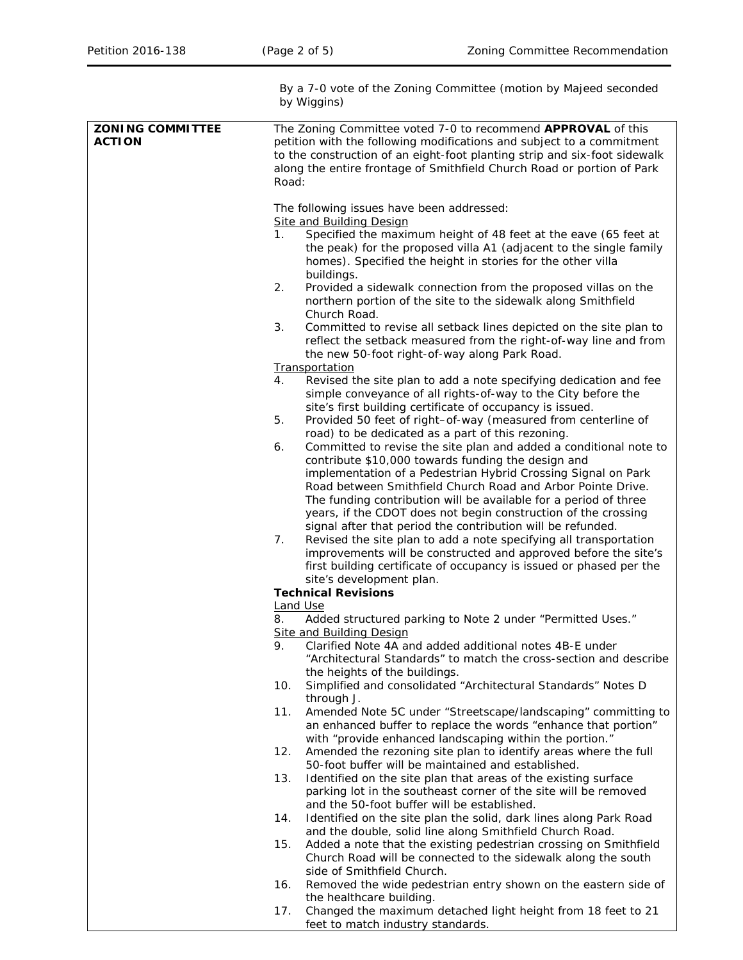|                                          | By a 7-0 vote of the Zoning Committee (motion by Majeed seconded<br>by Wiggins)                                                                                                                                                                                                                                                                                                                                                                                                                                                                                                                                                                                                                                                                                                                                                                                                                                                                                                                                                                                                                                                                                                                                                                                                                                                                                                                                                                                                                                                                                                   |  |  |  |
|------------------------------------------|-----------------------------------------------------------------------------------------------------------------------------------------------------------------------------------------------------------------------------------------------------------------------------------------------------------------------------------------------------------------------------------------------------------------------------------------------------------------------------------------------------------------------------------------------------------------------------------------------------------------------------------------------------------------------------------------------------------------------------------------------------------------------------------------------------------------------------------------------------------------------------------------------------------------------------------------------------------------------------------------------------------------------------------------------------------------------------------------------------------------------------------------------------------------------------------------------------------------------------------------------------------------------------------------------------------------------------------------------------------------------------------------------------------------------------------------------------------------------------------------------------------------------------------------------------------------------------------|--|--|--|
| <b>ZONING COMMITTEE</b><br><b>ACTION</b> | The Zoning Committee voted 7-0 to recommend APPROVAL of this<br>petition with the following modifications and subject to a commitment<br>to the construction of an eight-foot planting strip and six-foot sidewalk<br>along the entire frontage of Smithfield Church Road or portion of Park<br>Road:                                                                                                                                                                                                                                                                                                                                                                                                                                                                                                                                                                                                                                                                                                                                                                                                                                                                                                                                                                                                                                                                                                                                                                                                                                                                             |  |  |  |
|                                          | The following issues have been addressed:<br><b>Site and Building Design</b><br>1.<br>Specified the maximum height of 48 feet at the eave (65 feet at<br>the peak) for the proposed villa A1 (adjacent to the single family<br>homes). Specified the height in stories for the other villa<br>buildings.<br>2.<br>Provided a sidewalk connection from the proposed villas on the<br>northern portion of the site to the sidewalk along Smithfield<br>Church Road.<br>3.<br>Committed to revise all setback lines depicted on the site plan to<br>reflect the setback measured from the right-of-way line and from<br>the new 50-foot right-of-way along Park Road.<br><b>Transportation</b><br>4.<br>Revised the site plan to add a note specifying dedication and fee<br>simple conveyance of all rights-of-way to the City before the<br>site's first building certificate of occupancy is issued.<br>Provided 50 feet of right-of-way (measured from centerline of<br>5.<br>road) to be dedicated as a part of this rezoning.<br>Committed to revise the site plan and added a conditional note to<br>6.<br>contribute \$10,000 towards funding the design and<br>implementation of a Pedestrian Hybrid Crossing Signal on Park<br>Road between Smithfield Church Road and Arbor Pointe Drive.<br>The funding contribution will be available for a period of three<br>years, if the CDOT does not begin construction of the crossing<br>signal after that period the contribution will be refunded.<br>7.<br>Revised the site plan to add a note specifying all transportation |  |  |  |
|                                          | improvements will be constructed and approved before the site's<br>first building certificate of occupancy is issued or phased per the<br>site's development plan.<br><b>Technical Revisions</b>                                                                                                                                                                                                                                                                                                                                                                                                                                                                                                                                                                                                                                                                                                                                                                                                                                                                                                                                                                                                                                                                                                                                                                                                                                                                                                                                                                                  |  |  |  |
|                                          | <b>Land Use</b>                                                                                                                                                                                                                                                                                                                                                                                                                                                                                                                                                                                                                                                                                                                                                                                                                                                                                                                                                                                                                                                                                                                                                                                                                                                                                                                                                                                                                                                                                                                                                                   |  |  |  |
|                                          | 8.<br>Added structured parking to Note 2 under "Permitted Uses."                                                                                                                                                                                                                                                                                                                                                                                                                                                                                                                                                                                                                                                                                                                                                                                                                                                                                                                                                                                                                                                                                                                                                                                                                                                                                                                                                                                                                                                                                                                  |  |  |  |
|                                          | <b>Site and Building Design</b><br>Clarified Note 4A and added additional notes 4B-E under<br>9.<br>"Architectural Standards" to match the cross-section and describe<br>the heights of the buildings.                                                                                                                                                                                                                                                                                                                                                                                                                                                                                                                                                                                                                                                                                                                                                                                                                                                                                                                                                                                                                                                                                                                                                                                                                                                                                                                                                                            |  |  |  |
|                                          | Simplified and consolidated "Architectural Standards" Notes D<br>10.<br>through J.                                                                                                                                                                                                                                                                                                                                                                                                                                                                                                                                                                                                                                                                                                                                                                                                                                                                                                                                                                                                                                                                                                                                                                                                                                                                                                                                                                                                                                                                                                |  |  |  |
|                                          | Amended Note 5C under "Streetscape/landscaping" committing to<br>11.<br>an enhanced buffer to replace the words "enhance that portion"<br>with "provide enhanced landscaping within the portion."                                                                                                                                                                                                                                                                                                                                                                                                                                                                                                                                                                                                                                                                                                                                                                                                                                                                                                                                                                                                                                                                                                                                                                                                                                                                                                                                                                                 |  |  |  |
|                                          | Amended the rezoning site plan to identify areas where the full<br>12.<br>50-foot buffer will be maintained and established.                                                                                                                                                                                                                                                                                                                                                                                                                                                                                                                                                                                                                                                                                                                                                                                                                                                                                                                                                                                                                                                                                                                                                                                                                                                                                                                                                                                                                                                      |  |  |  |
|                                          | Identified on the site plan that areas of the existing surface<br>13.<br>parking lot in the southeast corner of the site will be removed<br>and the 50-foot buffer will be established.                                                                                                                                                                                                                                                                                                                                                                                                                                                                                                                                                                                                                                                                                                                                                                                                                                                                                                                                                                                                                                                                                                                                                                                                                                                                                                                                                                                           |  |  |  |
|                                          | Identified on the site plan the solid, dark lines along Park Road<br>14.<br>and the double, solid line along Smithfield Church Road.                                                                                                                                                                                                                                                                                                                                                                                                                                                                                                                                                                                                                                                                                                                                                                                                                                                                                                                                                                                                                                                                                                                                                                                                                                                                                                                                                                                                                                              |  |  |  |
|                                          | Added a note that the existing pedestrian crossing on Smithfield<br>15.<br>Church Road will be connected to the sidewalk along the south<br>side of Smithfield Church.                                                                                                                                                                                                                                                                                                                                                                                                                                                                                                                                                                                                                                                                                                                                                                                                                                                                                                                                                                                                                                                                                                                                                                                                                                                                                                                                                                                                            |  |  |  |
|                                          | Removed the wide pedestrian entry shown on the eastern side of<br>16.<br>the healthcare building.                                                                                                                                                                                                                                                                                                                                                                                                                                                                                                                                                                                                                                                                                                                                                                                                                                                                                                                                                                                                                                                                                                                                                                                                                                                                                                                                                                                                                                                                                 |  |  |  |
|                                          | Changed the maximum detached light height from 18 feet to 21<br>17.<br>feet to match industry standards.                                                                                                                                                                                                                                                                                                                                                                                                                                                                                                                                                                                                                                                                                                                                                                                                                                                                                                                                                                                                                                                                                                                                                                                                                                                                                                                                                                                                                                                                          |  |  |  |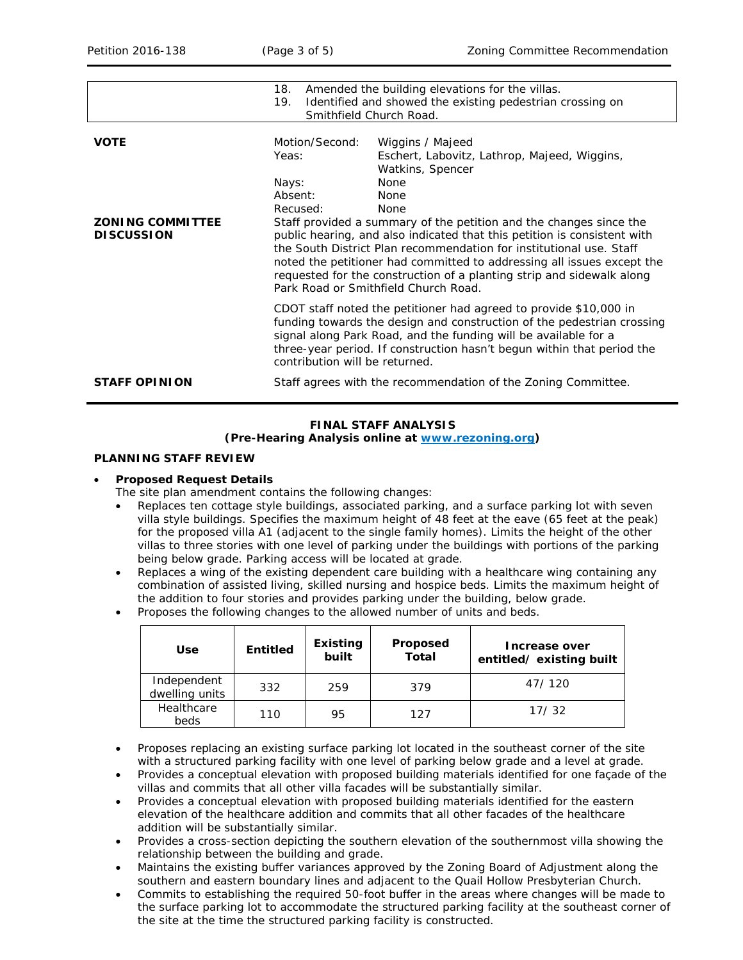|                                              | Amended the building elevations for the villas.<br>18.                                                                                                                                                                                                                                                                                                                                                                  |                                                               |  |  |  |
|----------------------------------------------|-------------------------------------------------------------------------------------------------------------------------------------------------------------------------------------------------------------------------------------------------------------------------------------------------------------------------------------------------------------------------------------------------------------------------|---------------------------------------------------------------|--|--|--|
|                                              | Identified and showed the existing pedestrian crossing on<br>19.                                                                                                                                                                                                                                                                                                                                                        |                                                               |  |  |  |
|                                              | Smithfield Church Road.                                                                                                                                                                                                                                                                                                                                                                                                 |                                                               |  |  |  |
|                                              |                                                                                                                                                                                                                                                                                                                                                                                                                         |                                                               |  |  |  |
| <b>VOTE</b>                                  | Motion/Second:                                                                                                                                                                                                                                                                                                                                                                                                          | Wiggins / Majeed                                              |  |  |  |
|                                              | Yeas:                                                                                                                                                                                                                                                                                                                                                                                                                   | Eschert, Labovitz, Lathrop, Majeed, Wiggins,                  |  |  |  |
|                                              |                                                                                                                                                                                                                                                                                                                                                                                                                         | Watkins, Spencer                                              |  |  |  |
|                                              | Nays:                                                                                                                                                                                                                                                                                                                                                                                                                   | <b>None</b>                                                   |  |  |  |
|                                              | Absent:                                                                                                                                                                                                                                                                                                                                                                                                                 | <b>None</b>                                                   |  |  |  |
|                                              | Recused:                                                                                                                                                                                                                                                                                                                                                                                                                | <b>None</b>                                                   |  |  |  |
| <b>ZONING COMMITTEE</b><br><b>DISCUSSION</b> | Staff provided a summary of the petition and the changes since the<br>public hearing, and also indicated that this petition is consistent with<br>the <i>South District Plan</i> recommendation for institutional use. Staff<br>noted the petitioner had committed to addressing all issues except the<br>requested for the construction of a planting strip and sidewalk along<br>Park Road or Smithfield Church Road. |                                                               |  |  |  |
|                                              | CDOT staff noted the petitioner had agreed to provide \$10,000 in<br>funding towards the design and construction of the pedestrian crossing<br>signal along Park Road, and the funding will be available for a<br>three-year period. If construction hasn't begun within that period the<br>contribution will be returned.                                                                                              |                                                               |  |  |  |
| <b>STAFF OPINION</b>                         |                                                                                                                                                                                                                                                                                                                                                                                                                         | Staff agrees with the recommendation of the Zoning Committee. |  |  |  |

## **FINAL STAFF ANALYSIS**

#### **(Pre-Hearing Analysis online at [www.rezoning.org\)](http://www.rezoning.org/)**

### **PLANNING STAFF REVIEW**

### • **Proposed Request Details**

- The site plan amendment contains the following changes:
- Replaces ten cottage style buildings, associated parking, and a surface parking lot with seven villa style buildings. Specifies the maximum height of 48 feet at the eave (65 feet at the peak) for the proposed villa A1 (adjacent to the single family homes). Limits the height of the other villas to three stories with one level of parking under the buildings with portions of the parking being below grade. Parking access will be located at grade.
- Replaces a wing of the existing dependent care building with a healthcare wing containing any combination of assisted living, skilled nursing and hospice beds. Limits the maximum height of the addition to four stories and provides parking under the building, below grade.
- Proposes the following changes to the allowed number of units and beds.

| <b>Use</b>                    | <b>Entitled</b> | Existing<br>built | <b>Proposed</b><br>Total | Increase over<br>entitled/existing built |
|-------------------------------|-----------------|-------------------|--------------------------|------------------------------------------|
| Independent<br>dwelling units | 332             | 259               | 379                      | 47/120                                   |
| Healthcare<br>beds            | 110             | 95                | 127                      | 17/32                                    |

- Proposes replacing an existing surface parking lot located in the southeast corner of the site with a structured parking facility with one level of parking below grade and a level at grade.
- Provides a conceptual elevation with proposed building materials identified for one façade of the villas and commits that all other villa facades will be substantially similar.
- Provides a conceptual elevation with proposed building materials identified for the eastern elevation of the healthcare addition and commits that all other facades of the healthcare addition will be substantially similar.
- Provides a cross-section depicting the southern elevation of the southernmost villa showing the relationship between the building and grade.
- Maintains the existing buffer variances approved by the Zoning Board of Adjustment along the southern and eastern boundary lines and adjacent to the Quail Hollow Presbyterian Church.
- Commits to establishing the required 50-foot buffer in the areas where changes will be made to the surface parking lot to accommodate the structured parking facility at the southeast corner of the site at the time the structured parking facility is constructed.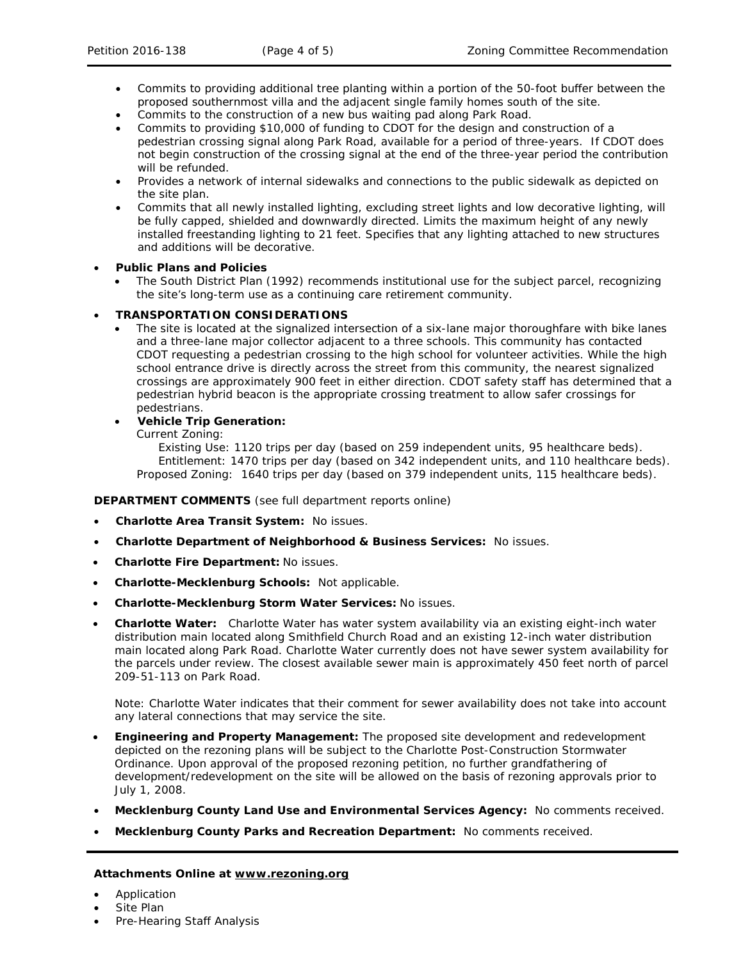- Commits to providing additional tree planting within a portion of the 50-foot buffer between the proposed southernmost villa and the adjacent single family homes south of the site.
- Commits to the construction of a new bus waiting pad along Park Road.
- Commits to providing \$10,000 of funding to CDOT for the design and construction of a pedestrian crossing signal along Park Road, available for a period of three-years. If CDOT does not begin construction of the crossing signal at the end of the three-year period the contribution will be refunded.
- Provides a network of internal sidewalks and connections to the public sidewalk as depicted on the site plan.
- Commits that all newly installed lighting, excluding street lights and low decorative lighting, will be fully capped, shielded and downwardly directed. Limits the maximum height of any newly installed freestanding lighting to 21 feet. Specifies that any lighting attached to new structures and additions will be decorative.

# • **Public Plans and Policies**

• The *South District Plan* (1992) recommends institutional use for the subject parcel, recognizing the site's long-term use as a continuing care retirement community.

# • **TRANSPORTATION CONSIDERATIONS**

- The site is located at the signalized intersection of a six-lane major thoroughfare with bike lanes and a three-lane major collector adjacent to a three schools. This community has contacted CDOT requesting a pedestrian crossing to the high school for volunteer activities. While the high school entrance drive is directly across the street from this community, the nearest signalized crossings are approximately 900 feet in either direction. CDOT safety staff has determined that a pedestrian hybrid beacon is the appropriate crossing treatment to allow safer crossings for pedestrians.
- **Vehicle Trip Generation:**

Current Zoning:

Existing Use: 1120 trips per day (based on 259 independent units, 95 healthcare beds). Entitlement: 1470 trips per day (based on 342 independent units, and 110 healthcare beds). Proposed Zoning: 1640 trips per day (based on 379 independent units, 115 healthcare beds).

### **DEPARTMENT COMMENTS** (see full department reports online)

- **Charlotte Area Transit System:** No issues.
- **Charlotte Department of Neighborhood & Business Services:** No issues.
- **Charlotte Fire Department:** No issues.
- **Charlotte-Mecklenburg Schools:** Not applicable.
- **Charlotte-Mecklenburg Storm Water Services:** No issues.
- **Charlotte Water:** Charlotte Water has water system availability via an existing eight-inch water distribution main located along Smithfield Church Road and an existing 12-inch water distribution main located along Park Road. Charlotte Water currently does not have sewer system availability for the parcels under review. The closest available sewer main is approximately 450 feet north of parcel 209-51-113 on Park Road.

Note: Charlotte Water indicates that their comment for sewer availability does not take into account any lateral connections that may service the site.

- **Engineering and Property Management:** The proposed site development and redevelopment depicted on the rezoning plans will be subject to the Charlotte Post-Construction Stormwater Ordinance. Upon approval of the proposed rezoning petition, no further grandfathering of development/redevelopment on the site will be allowed on the basis of rezoning approvals prior to July 1, 2008.
- **Mecklenburg County Land Use and Environmental Services Agency:** No comments received.
- **Mecklenburg County Parks and Recreation Department:** No comments received.

### **Attachments Online at www.rezoning.org**

- Application
- Site Plan
- Pre-Hearing Staff Analysis